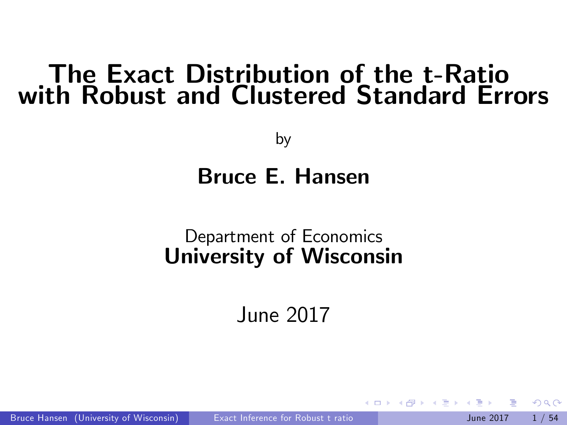## The Exact Distribution of the t-Ratio with Robust and Clustered Standard Errors

by

#### Bruce E. Hansen

#### Department of Economics University of Wisconsin

<span id="page-0-0"></span>June 2017

Bruce Hansen (University of Wisconsin) [Exact Inference for Robust t ratio](#page-53-0) June 2017 1/54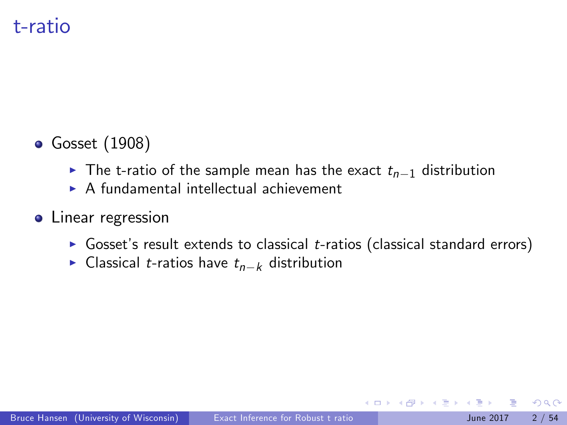### t-ratio

- Gosset (1908)
	- In The t-ratio of the sample mean has the exact  $t_{n-1}$  distribution
	- $\triangleright$  A fundamental intellectual achievement
- **•** Linear regression
	- Gosset's result extends to classical  $t$ -ratios (classical standard errors)
	- Classical *t*-ratios have  $t_{n-k}$  distribution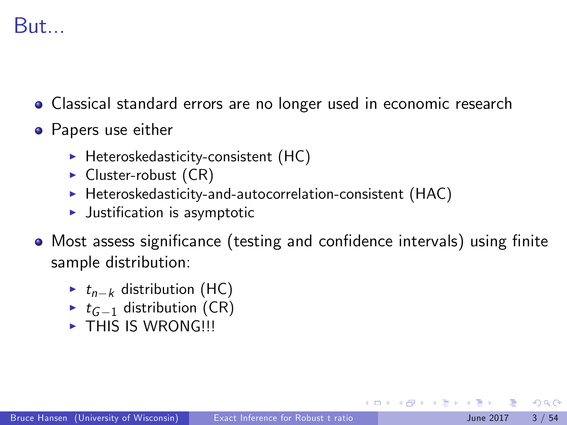## But...

- Classical standard errors are no longer used in economic research
- Papers use either
	- $\blacktriangleright$  Heteroskedasticity-consistent (HC)
	- $\blacktriangleright$  Cluster-robust (CR)
	- $\blacktriangleright$  Heteroskedasticity-and-autocorrelation-consistent (HAC)
	- $\blacktriangleright$  Justification is asymptotic
- Most assess significance (testing and confidence intervals) using finite sample distribution:
	- $\blacktriangleright$   $t_{n-k}$  distribution (HC)
	- $\triangleright$  t<sub>G-1</sub> distribution (CR)
	- $\blacktriangleright$  THIS IS WRONG!!!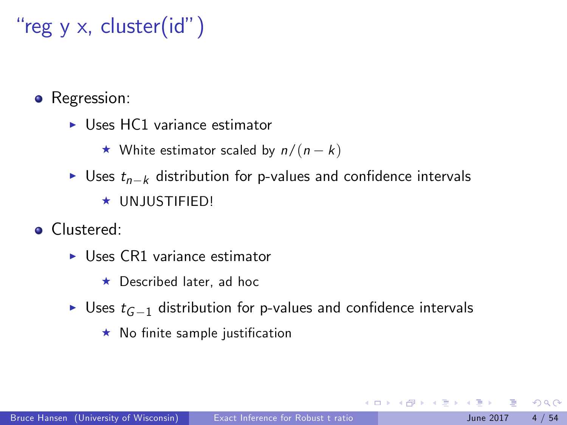# "reg y  $\times$ , cluster(id")

• Regression:

 $\blacktriangleright$  Uses HC1 variance estimator

 $\star$  White estimator scaled by  $n/(n - k)$ 

- I Uses  $t_{n-k}$  distribution for p-values and confidence intervals  $\star$  UNJUSTIFIED!
- **•** Clustered:
	- $\blacktriangleright$  Uses CR1 variance estimator
		- $\star$  Described later, ad hoc
	- Uses  $t_{G-1}$  distribution for p-values and confidence intervals
		- $\star$  No finite sample justification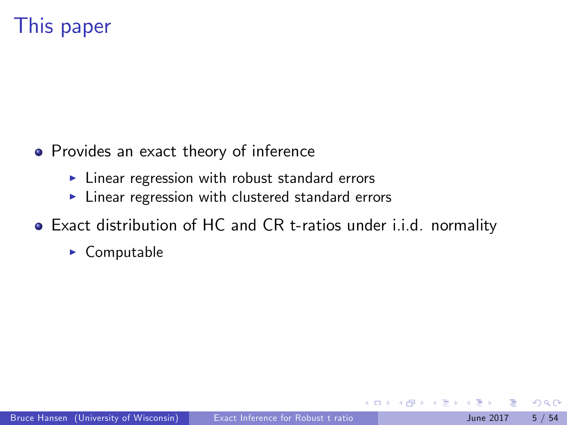## This paper

- Provides an exact theory of inference
	- $\blacktriangleright$  Linear regression with robust standard errors
	- $\blacktriangleright$  Linear regression with clustered standard errors
- Exact distribution of HC and CR t-ratios under i.i.d. normality
	- $\triangleright$  Computable

 $\leftarrow$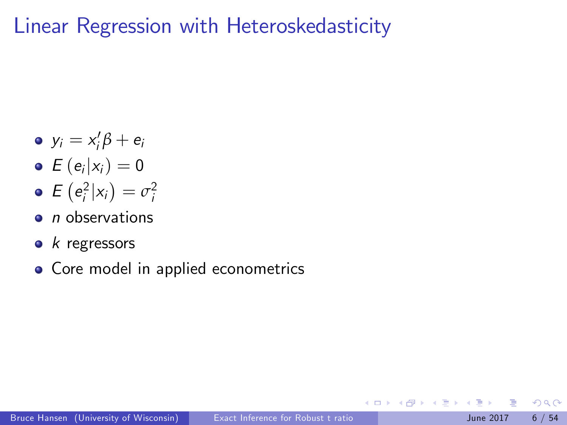Linear Regression with Heteroskedasticity

- $y_i = x_i' \beta + e_i$
- $E(e_i|x_i)=0$
- $E(e_i^2|x_i)=\sigma_i^2$
- $\bullet$  *n* observations
- $k$  regressors
- Core model in applied econometrics

 $\leftarrow$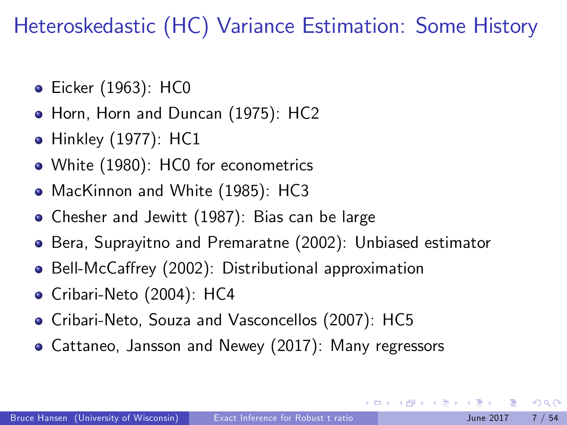Heteroskedastic (HC) Variance Estimation: Some History

- **•** Eicker (1963): HC0
- Horn, Horn and Duncan (1975): HC2
- Hinkley (1977): HC1
- White (1980): HC0 for econometrics
- MacKinnon and White (1985): HC3
- Chesher and Jewitt (1987): Bias can be large
- Bera, Suprayitno and Premaratne (2002): Unbiased estimator
- Bell-McCaffrey (2002): Distributional approximation
- Cribari-Neto (2004): HC4
- Cribari-Neto, Souza and Vasconcellos (2007): HC5
- Cattaneo, Jansson and Newey (2017): Many regressors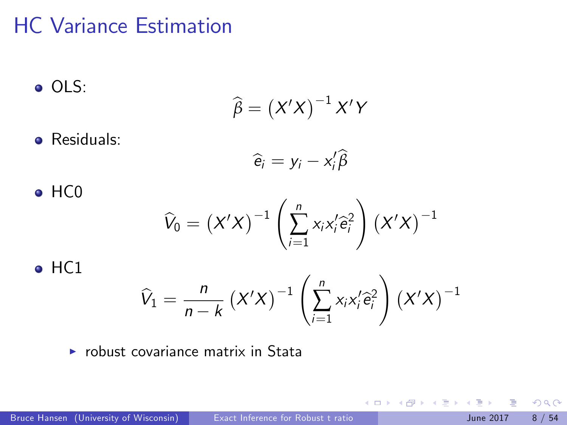## HC Variance Estimation

$$
\bullet \hspace{0.1cm} \mathsf{OLS:}
$$

$$
\widehat{\beta}=\left(X'X\right)^{-1}X'Y
$$

**•** Residuals: ÷.

$$
\widehat{e}_i = y_i - x_i'\widehat{\beta}
$$

• HCO  

$$
\widehat{V}_0 = (X'X)^{-1} \left( \sum_{i=1}^n x_i x_i' \widehat{e}_i^2 \right) (X'X)^{-1}
$$

• HC1  

$$
\widehat{V}_1 = \frac{n}{n-k} (X'X)^{-1} \left( \sum_{i=1}^n x_i x_i' \widehat{e}_i^2 \right) (X'X)^{-1}
$$

 $\triangleright$  robust covariance matrix in Stata

イロト イ押 トイヨト イヨ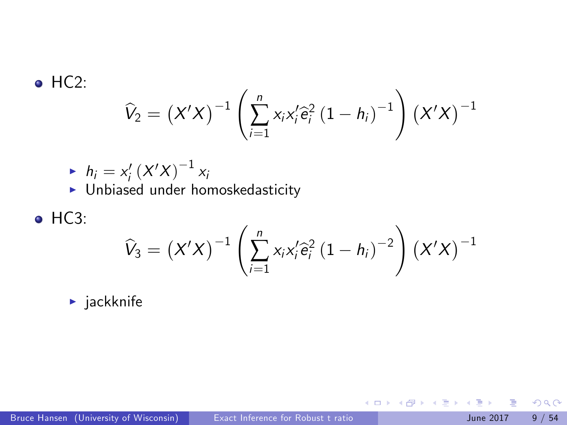$\bullet$  HC2:

$$
\widehat{V}_2 = \left(X'X\right)^{-1} \left(\sum_{i=1}^n x_i x_i' \widehat{e}_i^2 \left(1 - h_i\right)^{-1}\right) \left(X'X\right)^{-1}
$$

\n- $$
h_i = x_i' (X'X)^{-1} x_i
$$
\n- Unbiased under homoskedasticity
\n

• HC3:

$$
\widehat{V}_{3} = (X'X)^{-1} \left( \sum_{i=1}^{n} x_{i}x_{i}'\widehat{e}_{i}^{2} (1-h_{i})^{-2} \right) (X'X)^{-1}
$$

 $\blacktriangleright$  jackknife

 $2990$ 

イロト イ部 トイモト イモト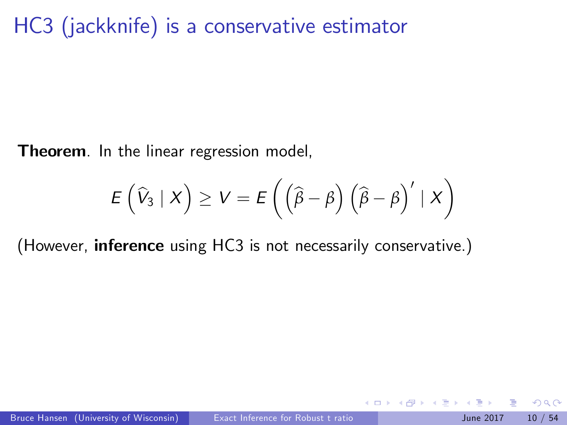HC3 (jackknife) is a conservative estimator

Theorem. In the linear regression model,

$$
E(\widehat{V}_3 | X) \geq V = E((\widehat{\beta} - \beta) (\widehat{\beta} - \beta)' | X)
$$

4.0.3

(However, inference using HC3 is not necessarily conservative.)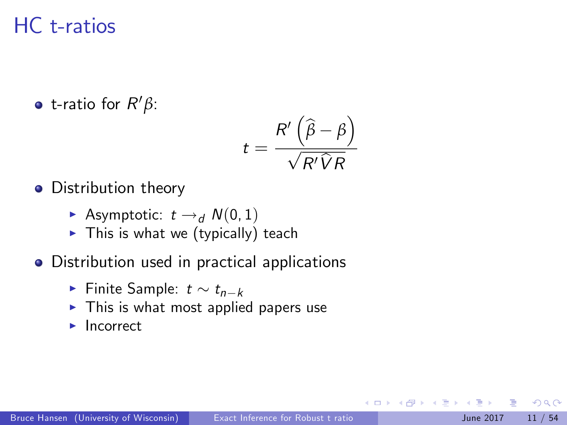## HC t-ratios

t-ratio for R <sup>0</sup>*β*:

$$
t = \frac{R'\left(\widehat{\beta} - \beta\right)}{\sqrt{R'\widehat{V}R}}
$$

- Distribution theory
	- Asymptotic:  $t \rightarrow d$   $N(0, 1)$
	- $\triangleright$  This is what we (typically) teach
- Distribution used in practical applications
	- Finite Sample:  $t \sim t_{n-k}$
	- $\blacktriangleright$  This is what most applied papers use
	- $\blacktriangleright$  Incorrect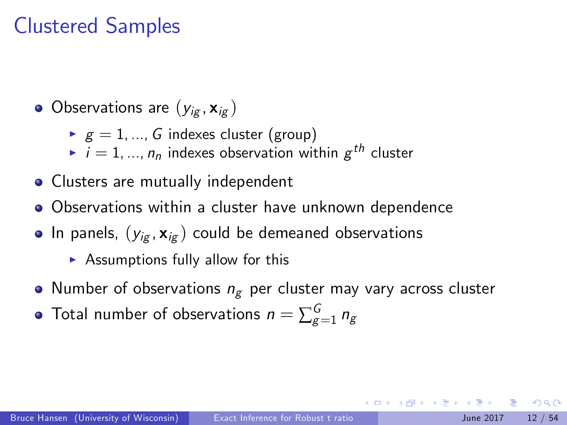## Clustered Samples

- $\bullet$  Observations are  $(y_{i\sigma}, \mathbf{x}_{i\sigma})$ 
	- $g = 1, ..., G$  indexes cluster (group)
	- $\blacktriangleright$   $i = 1,...,n_n$  indexes observation within  $g^{th}$  cluster
- Clusters are mutually independent
- Observations within a cluster have unknown dependence
- In panels,  $(y_{i\sigma}, \mathbf{x}_{i\sigma})$  could be demeaned observations
	- $\triangleright$  Assumptions fully allow for this
- Number of observations  $n_g$  per cluster may vary across cluster
- Total number of observations  $n=\sum_{g=1}^G n_g$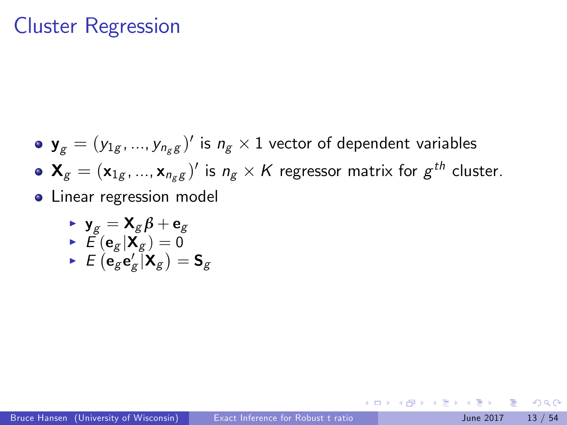### Cluster Regression

 $\mathbf{y}_{g}=(y_{1g},...,y_{n_{g}g})^{\prime}$  is  $n_{g}\times 1$  vector of dependent variables  $\mathbf{X}_g=(\mathbf{x}_{1g},...,\mathbf{x}_{n_gg})'$  is  $n_g\times K$  regressor matrix for  $g^{th}$  cluster. **•** Linear regression model

$$
\begin{array}{ll}\n\textbf{y}_g &= \textbf{X}_g \beta + \textbf{e}_g \\
\textbf{y} &= \textbf{f} \left( \textbf{e}_g | \textbf{X}_g \right) = 0 \\
\textbf{y} &= \textbf{f} \left( \textbf{e}_g \textbf{e}_g' | \textbf{X}_g \right) = \textbf{S}_g\n\end{array}
$$

 $\Omega$ 

4 日下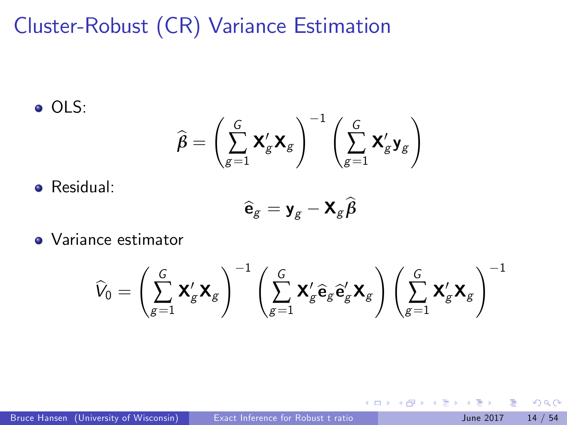# Cluster-Robust (CR) Variance Estimation

o OLS:

$$
\widehat{\pmb{\beta}} = \left(\sum_{g=1}^G \pmb{X}_g' \pmb{X}_g \right)^{-1} \left(\sum_{g=1}^G \pmb{X}_g' \pmb{y}_g \right)
$$

Residual:

$$
\widehat{\mathbf{e}}_g = \mathbf{y}_g - \mathbf{X}_g \widehat{\boldsymbol{\beta}}
$$

• Variance estimator

$$
\widehat{V}_0 = \left(\sum_{g=1}^G \mathbf{X}_g' \mathbf{X}_g\right)^{-1} \left(\sum_{g=1}^G \mathbf{X}_g' \widehat{\mathbf{e}}_g \widehat{\mathbf{e}}_g' \mathbf{X}_g\right) \left(\sum_{g=1}^G \mathbf{X}_g' \mathbf{X}_g\right)^{-1}
$$

4.0.3

 $QQ$ 

不重 的现在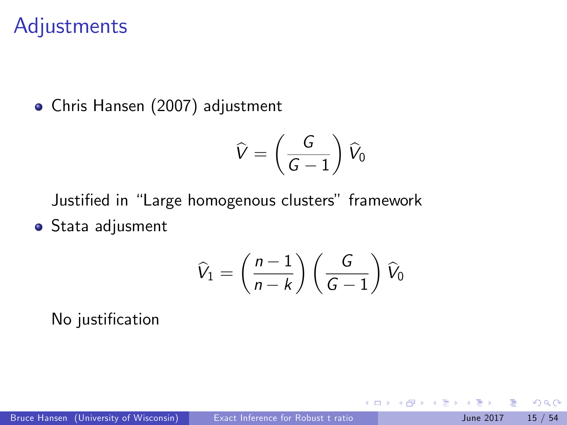#### **Adjustments**

Chris Hansen (2007) adjustment

$$
\widehat{V}=\left(\frac{G}{G-1}\right)\widehat{V}_0
$$

Justified in "Large homogenous clusters" framework

**•** Stata adjusment

$$
\widehat{V}_1 = \left(\frac{n-1}{n-k}\right) \left(\frac{G}{G-1}\right) \widehat{V}_0
$$

4.0.3

No justification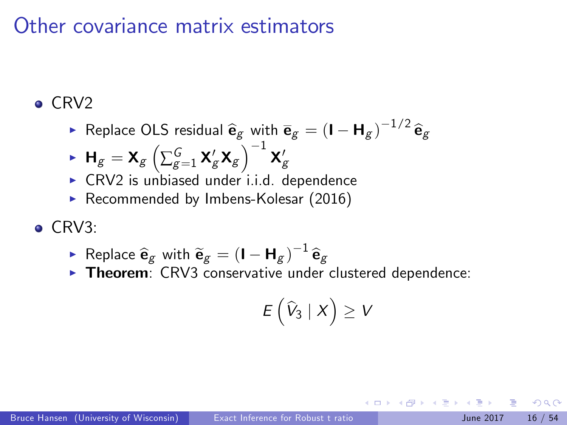### Other covariance matrix estimators

#### $\bullet$  CRV2

▶ Replace OLS residual  $\widehat{\mathbf{e}}_{g}$  with  $\overline{\mathbf{e}}_{g} = (\mathbf{I} - \mathbf{H}_{g})^{-1/2} \widehat{\mathbf{e}}_{g}$ 

$$
\blacktriangleright \mathbf{H}_g = \mathbf{X}_g \left( \sum_{g=1}^G \mathbf{X}'_g \mathbf{X}_g \right)^{-1} \mathbf{X}'_g
$$

- $\triangleright$  CRV2 is unbiased under i.i.d. dependence
- Recommended by Imbens-Kolesar (2016)
- $\bullet$  CRV3:
	- ▶ Replace  $\mathbf{\hat{e}}_g$  with  $\mathbf{\widetilde{e}}_g = (\mathbf{I} \mathbf{H}_g)^{-1} \mathbf{\widehat{e}}_g$
	- $\triangleright$  Theorem: CRV3 conservative under clustered dependence:

$$
E\left(\widehat{V}_3 \mid X\right) \geq V
$$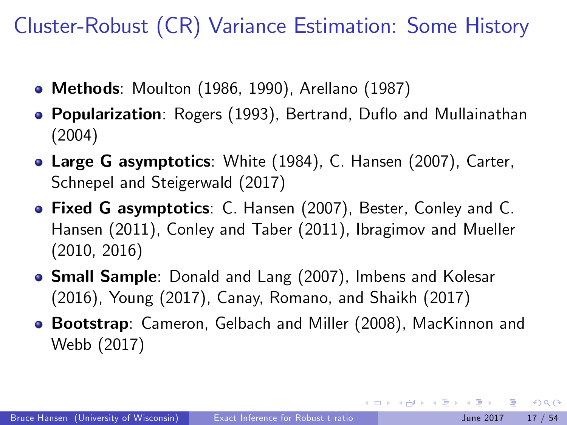Cluster-Robust (CR) Variance Estimation: Some History

- Methods: Moulton (1986, 1990), Arellano (1987)
- **Popularization**: Rogers (1993), Bertrand, Duflo and Mullainathan (2004)
- Large G asymptotics: White (1984), C. Hansen (2007), Carter, Schnepel and Steigerwald (2017)
- Fixed G asymptotics: C. Hansen (2007), Bester, Conley and C. Hansen (2011), Conley and Taber (2011), Ibragimov and Mueller (2010, 2016)
- **Small Sample**: Donald and Lang (2007), Imbens and Kolesar (2016), Young (2017), Canay, Romano, and Shaikh (2017)
- Bootstrap: Cameron, Gelbach and Miller (2008), MacKinnon and Webb (2017)

 $\Omega$ 

イロト イ押ト イヨト イヨト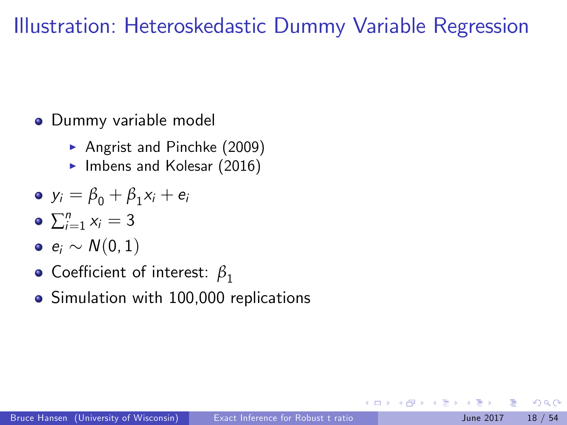## Illustration: Heteroskedastic Dummy Variable Regression

- Dummy variable model
	- Angrist and Pinchke  $(2009)$
	- $\blacktriangleright$  Imbens and Kolesar (2016)

$$
\bullet \ \ y_i = \beta_0 + \beta_1 x_i + e_i
$$

- $\sum_{i=1}^n x_i = 3$
- $e_i \sim N(0, 1)$
- **•** Coefficient of interest:  $β_1$
- Simulation with 100,000 replications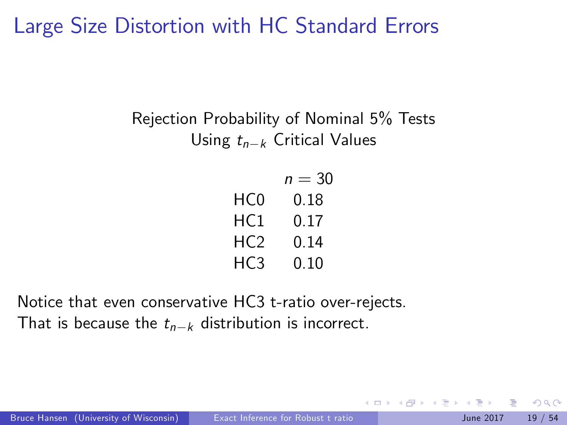## Large Size Distortion with HC Standard Errors

#### Rejection Probability of Nominal 5% Tests Using  $t_{n-k}$  Critical Values

|     | $n = 30$ |
|-----|----------|
| HC0 | 0.18     |
| HC1 | 0.17     |
| HC2 | 0.14     |
| HC3 | 0.10     |

Notice that even conservative HC3 t-ratio over-rejects. That is because the  $t_{n-k}$  distribution is incorrect.

Bruce Hansen (University of Wisconsin) [Exact Inference for Robust t ratio](#page-0-0) June 2017 19 / 54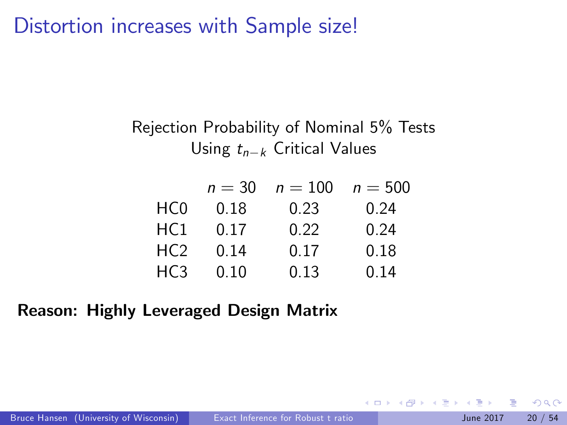Distortion increases with Sample size!

#### Rejection Probability of Nominal 5% Tests Using  $t_{n-k}$  Critical Values

|                 | $n = 30$ | $n = 100$ | $n = 500$ |
|-----------------|----------|-----------|-----------|
| HC0             | 0.18     | 0.23      | 0.24      |
| HC1             | 0.17     | 0.22      | 0.24      |
| HC2             | 0.14     | 0.17      | 0.18      |
| HC <sub>3</sub> | 0.10     | 0.13      | 0.14      |

#### Reason: Highly Leveraged Design Matrix

4.0.3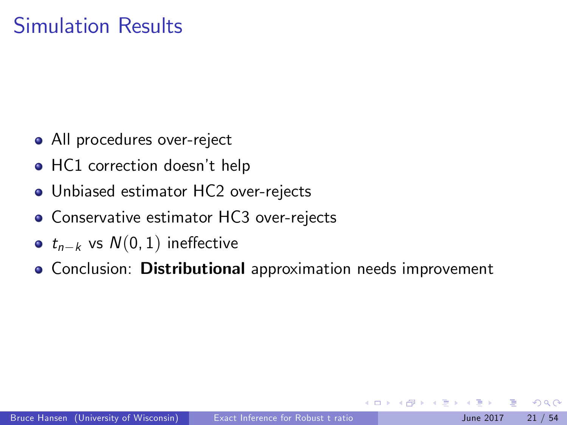## Simulation Results

- All procedures over-reject
- HC1 correction doesn't help
- Unbiased estimator HC2 over-rejects
- **Conservative estimator HC3 over-rejects**
- $t_{n-k}$  vs  $N(0, 1)$  ineffective
- **Conclusion: Distributional approximation needs improvement**

つへへ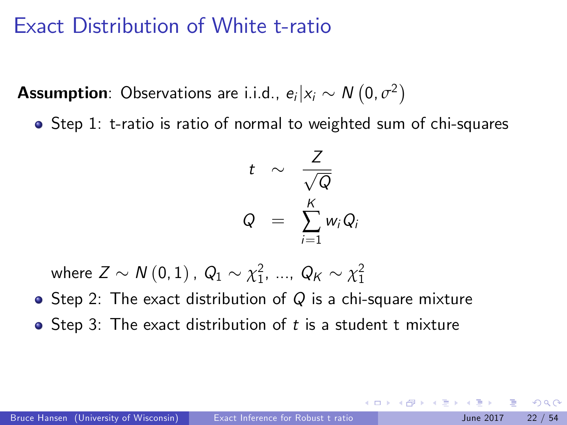### Exact Distribution of White t-ratio

**Assumption**: Observations are i.i.d.,  $e_i | x_i \sim N(0, \sigma^2)$ 

Step 1: t-ratio is ratio of normal to weighted sum of chi-squares

$$
t \sim \frac{Z}{\sqrt{Q}}
$$
  

$$
Q = \sum_{i=1}^{K} w_i Q_i
$$

where  $Z \sim N(0, 1)$  ,  $Q_1 \sim \chi_1^2$ , ...,  $Q_K \sim \chi_1^2$ 

- Step 2: The exact distribution of  $Q$  is a chi-square mixture
- $\bullet$  Step 3: The exact distribution of t is a student t mixture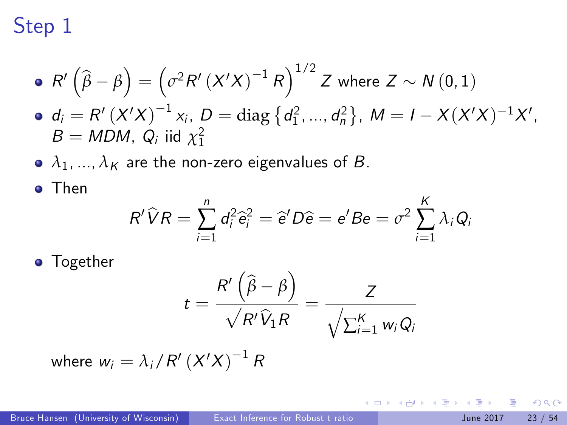# Step 1

• 
$$
R'(\hat{\beta} - \beta) = (\sigma^2 R'(X'X)^{-1} R)^{1/2} Z
$$
 where  $Z \sim N(0, 1)$   
\n•  $d_i = R'(X'X)^{-1} x_i$ ,  $D = \text{diag} \{d_1^2, ..., d_n^2\}$ ,  $M = I - X(X'X)^{-1}X'$ ,  $B = MDM$ ,  $Q_i$  iid  $\chi_1^2$ 

•  $\lambda_1, ..., \lambda_K$  are the non-zero eigenvalues of *B*.

o Then

$$
R'\widehat{V}R=\sum_{i=1}^n d_i^2\widehat{e}_i^2=\widehat{e}'D\widehat{e}=e'Be=\sigma^2\sum_{i=1}^K\lambda_iQ_i
$$

**o** Together

$$
t = \frac{R'\left(\widehat{\beta} - \beta\right)}{\sqrt{R'\widehat{V}_1R}} = \frac{Z}{\sqrt{\sum_{i=1}^{K} w_i Q_i}}
$$

where  $w_i = \lambda_i / R'\left( X'X \right)^{-1} R$ 

4 日下

化医头头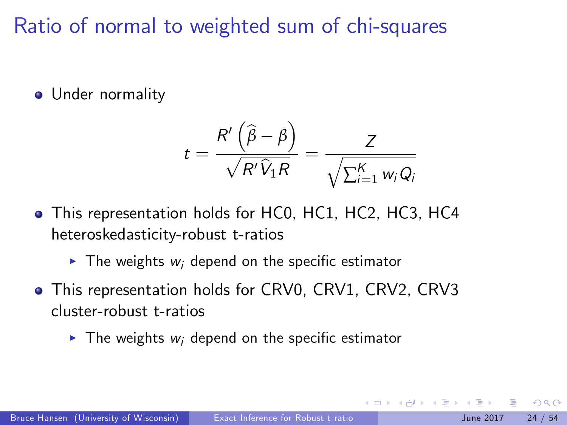Ratio of normal to weighted sum of chi-squares

**·** Under normality

$$
t = \frac{R'\left(\widehat{\beta} - \beta\right)}{\sqrt{R'\widehat{V}_1R}} = \frac{Z}{\sqrt{\sum_{i=1}^K w_i Q_i}}
$$

- This representation holds for HC0, HC1, HC2, HC3, HC4 heteroskedasticity-robust t-ratios
	- $\blacktriangleright$  The weights w<sub>i</sub> depend on the specific estimator
- This representation holds for CRV0, CRV1, CRV2, CRV3 cluster-robust t-ratios
	- $\blacktriangleright$  The weights w<sub>i</sub> depend on the specific estimator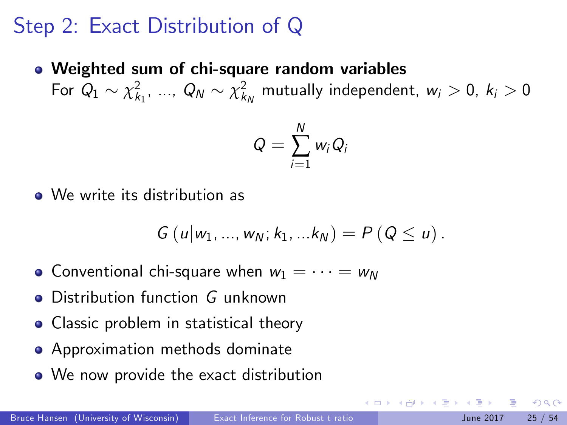## Step 2: Exact Distribution of Q

Weighted sum of chi-square random variables For  $Q_1 \sim \chi^2_{k_1}, \ ..., \ Q_N \sim \chi^2_{k_N}$  mutually independent,  $w_i > 0, \ k_i > 0$ 

$$
Q=\sum_{i=1}^N w_i Q_i
$$

We write its distribution as

$$
G(u|w_1,...,w_N; k_1,...k_N) = P(Q \le u).
$$

- Conventional chi-square when  $w_1 = \cdots = w_N$
- Distribution function G unknown
- Classic problem in statistical theory
- **•** Approximation methods dominate
- We now provide the exact distribution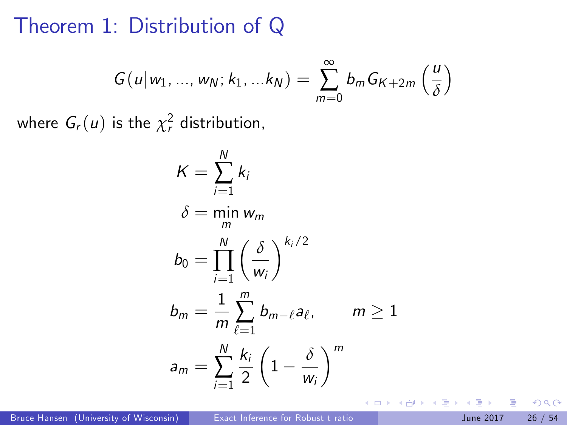#### Theorem 1: Distribution of Q

$$
G(u|w_1,...,w_N; k_1,...k_N) = \sum_{m=0}^{\infty} b_m G_{K+2m} \left(\frac{u}{\delta}\right)
$$

where  $G_r(u)$  is the  $\chi^2_r$  distribution,

$$
K = \sum_{i=1}^{N} k_i
$$
  
\n
$$
\delta = \min_{m} w_m
$$
  
\n
$$
b_0 = \prod_{i=1}^{N} \left(\frac{\delta}{w_i}\right)^{k_i/2}
$$
  
\n
$$
b_m = \frac{1}{m} \sum_{\ell=1}^{m} b_{m-\ell} a_{\ell}, \qquad m \ge 1
$$
  
\n
$$
a_m = \sum_{i=1}^{N} \frac{k_i}{2} \left(1 - \frac{\delta}{w_i}\right)^m
$$

4.0.3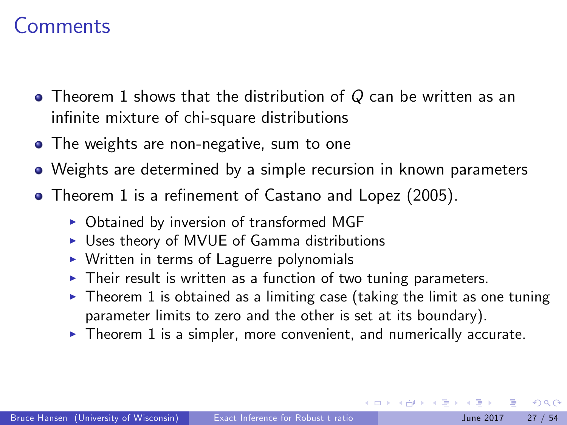### Comments

- $\bullet$  Theorem 1 shows that the distribution of Q can be written as an infinite mixture of chi-square distributions
- The weights are non-negative, sum to one
- Weights are determined by a simple recursion in known parameters
- Theorem 1 is a refinement of Castano and Lopez (2005).
	- $\triangleright$  Obtained by inversion of transformed MGF
	- $\triangleright$  Uses theory of MVUE of Gamma distributions
	- $\triangleright$  Written in terms of Laguerre polynomials
	- $\triangleright$  Their result is written as a function of two tuning parameters.
	- $\blacktriangleright$  Theorem 1 is obtained as a limiting case (taking the limit as one tuning parameter limits to zero and the other is set at its boundary).
	- $\triangleright$  Theorem 1 is a simpler, more convenient, and numerically accurate.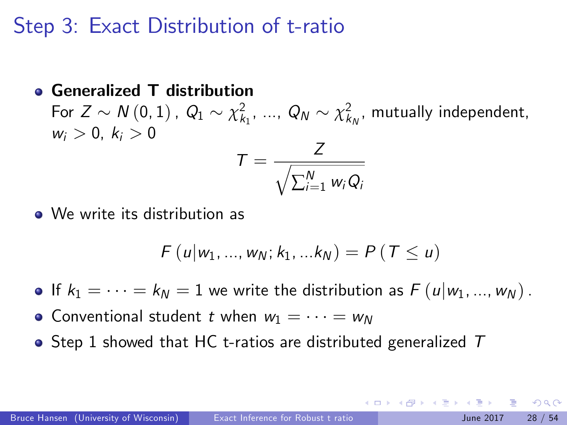## Step 3: Exact Distribution of t-ratio

#### Generalized T distribution For  $Z \sim N(0, 1)$ ,  $Q_1 \sim \chi^2_{k_1}, ..., Q_N \sim \chi^2_{k_N}$ , mutually independent,  $w_i > 0, k_i > 0$  $T = \frac{Z}{\sqrt{Z}}$  $\sqrt{ }$  $\sum_{i=1}^N w_i Q_i$

We write its distribution as

$$
F(u|w_1, ..., w_N; k_1, ... k_N) = P(T \le u)
$$

If  $k_1 = \cdots = k_N = 1$  we write the distribution as  $F(u|w_1, ..., w_N)$ .

- Conventional student t when  $w_1 = \cdots = w_N$
- $\bullet$  Step 1 showed that HC t-ratios are distributed generalized  $T$

- വൈറ

イロト イ押ト イヨト イヨト ニヨ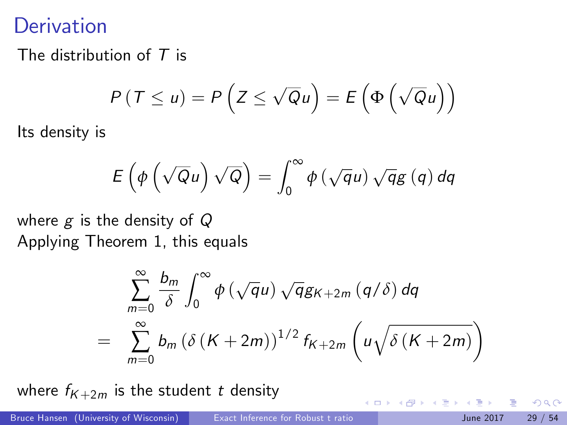## **Derivation**

The distribution of  $T$  is

$$
P(T \le u) = P\left(Z \le \sqrt{Q}u\right) = E\left(\Phi\left(\sqrt{Q}u\right)\right)
$$

Its density is

$$
E\left(\phi\left(\sqrt{Q}u\right)\sqrt{Q}\right)=\int_0^\infty\phi\left(\sqrt{q}u\right)\sqrt{q}g\left(q\right)dq
$$

where  $g$  is the density of  $Q$ Applying Theorem 1, this equals

$$
\sum_{m=0}^{\infty} \frac{b_m}{\delta} \int_0^{\infty} \phi \left(\sqrt{q}u\right) \sqrt{q} g_{K+2m} \left(q/\delta\right) dq
$$
  
= 
$$
\sum_{m=0}^{\infty} b_m \left(\delta \left(K + 2m\right)\right)^{1/2} f_{K+2m} \left(u \sqrt{\delta \left(K + 2m\right)}\right)
$$

where  $f_{K+2m}$  is the student t density

4 0 8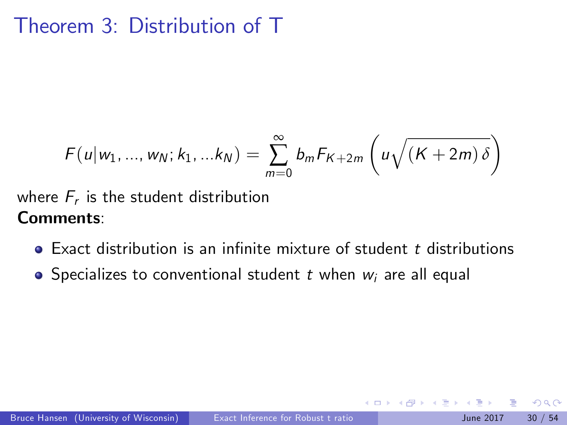## Theorem 3: Distribution of T

$$
F(u|w_1, ..., w_N; k_1, ...k_N) = \sum_{m=0}^{\infty} b_m F_{K+2m} \left( u \sqrt{(K+2m)\delta} \right)
$$

where  $F_r$  is the student distribution Comments:

 $\bullet$  Exact distribution is an infinite mixture of student t distributions

4 0 8

• Specializes to conventional student t when  $w_i$  are all equal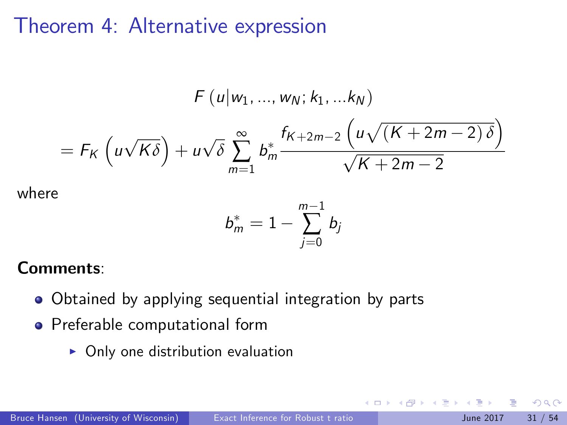### Theorem 4: Alternative expression

$$
F(u|w_1,...,w_N;k_1,...k_N)
$$
  
=  $F_K(u\sqrt{K\delta}) + u\sqrt{\delta} \sum_{m=1}^{\infty} b_m^* \frac{f_{K+2m-2}(u\sqrt{(K+2m-2)\delta})}{\sqrt{K+2m-2}}$ 

where

$$
b^*_m=1-\sum_{j=0}^{m-1}b_j
$$

 $\leftarrow$ 

#### Comments:

- Obtained by applying sequential integration by parts
- Preferable computational form
	- $\triangleright$  Only one distribution evaluation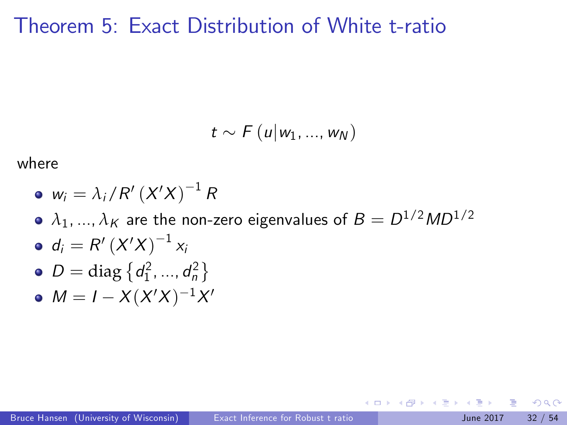#### Theorem 5: Exact Distribution of White t-ratio

$$
t \sim F(u|w_1,...,w_N)
$$

where

$$
\bullet \, w_i = \lambda_i / R' \left( X'X \right)^{-1} R
$$

- $\lambda_1, ..., \lambda_K$  are the non-zero eigenvalues of  $B = D^{1/2} M D^{1/2}$
- $d_i = R'\left( X'X \right)^{-1}$   $x_i$
- $D = \text{diag} \{ d_1^2, ..., d_n^2 \}$
- $M = I X(X'X)^{-1}X'$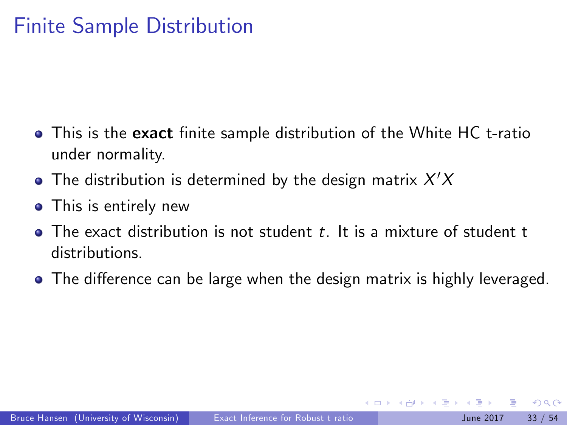# Finite Sample Distribution

- This is the exact finite sample distribution of the White HC t-ratio under normality.
- The distribution is determined by the design matrix  $X^\prime X$
- This is entirely new
- $\bullet$  The exact distribution is not student t. It is a mixture of student t distributions.
- The difference can be large when the design matrix is highly leveraged.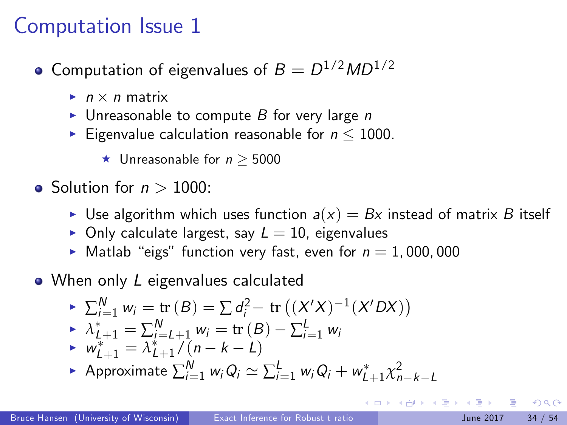## Computation Issue 1

- Computation of eigenvalues of  $B=D^{1/2}MD^{1/2}$ 
	- $\blacktriangleright$   $n \times n$  matrix
	- Inreasonable to compute  $B$  for very large n
	- Eigenvalue calculation reasonable for  $n \leq 1000$ .
		- $\star$  Unreasonable for  $n > 5000$
- Solution for  $n > 1000$ :
	- I Use algorithm which uses function  $a(x) = Bx$  instead of matrix B itself
	- $\triangleright$  Only calculate largest, say  $L = 10$ , eigenvalues
	- $\blacktriangleright$  Matlab "eigs" function very fast, even for  $n = 1,000,000$
- When only L eigenvalues calculated

► 
$$
\sum_{i=1}^{N} w_i = \text{tr}(B) = \sum d_i^2 - \text{tr}((X'X)^{-1}(X'DX))
$$
  
\n►  $\lambda_{L+1}^* = \sum_{i=L+1}^{N} w_i = \text{tr}(B) - \sum_{i=1}^{L} w_i$   
\n►  $w_{L+1}^* = \lambda_{L+1}^*/(n-k-L)$ 

► Approximate  $\sum_{i=1}^{N} w_i Q_i \simeq \sum_{i=1}^{L} w_i Q_i + w_{L+1}^* \chi^2_{n-k-L}$ 

 $\Omega$ 

 $\left\{ \begin{array}{ccc} 1 & 0 & 0 \\ 0 & 1 & 0 \end{array} \right.$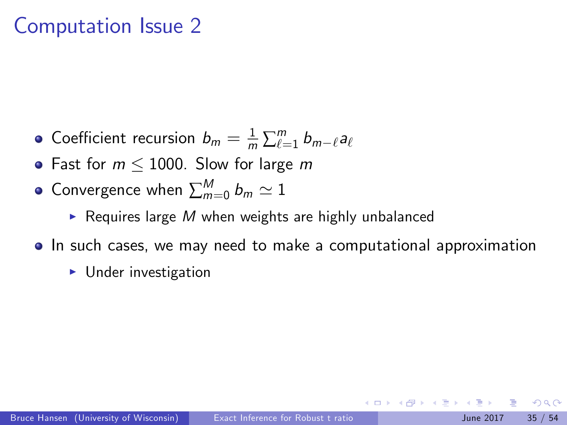### Computation Issue 2

- Coefficient recursion  $b_m = \frac{1}{m} \sum_{\ell=1}^m b_{m-\ell} a_\ell$
- Fast for  $m \le 1000$ . Slow for large m
- Convergence when  $\sum_{m=0}^M b_m \simeq 1$ 
	- Requires large M when weights are highly unbalanced
- **In such cases, we may need to make a computational approximation** 
	- $\blacktriangleright$  Under investigation

つへへ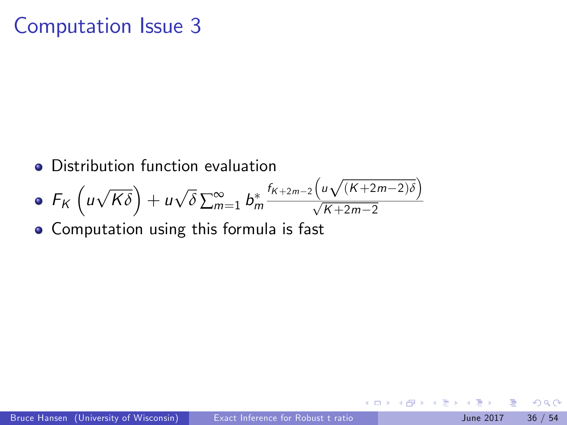## Computation Issue 3

Distribution function evaluation

• 
$$
F_K\left(u\sqrt{K\delta}\right) + u\sqrt{\delta} \sum_{m=1}^{\infty} b_m^* \frac{f_{K+2m-2}\left(u\sqrt{(K+2m-2)\delta}\right)}{\sqrt{K+2m-2}}
$$

Computation using this formula is fast

 $200$ 

4.0.3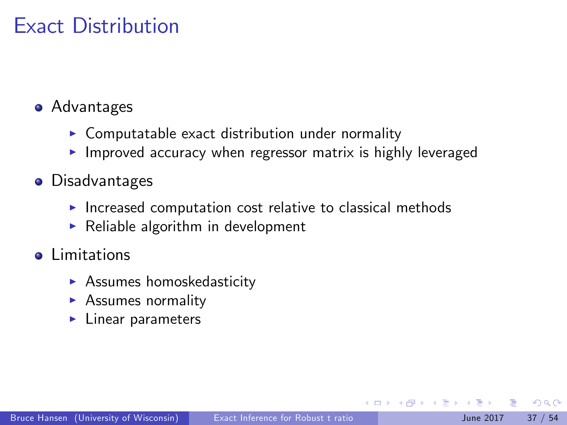## Exact Distribution

#### **•** Advantages

- $\triangleright$  Computatable exact distribution under normality
- $\blacktriangleright$  Improved accuracy when regressor matrix is highly leveraged
- **•** Disadvantages
	- $\blacktriangleright$  Increased computation cost relative to classical methods
	- $\blacktriangleright$  Reliable algorithm in development
- **o** Limitations
	- $\blacktriangleright$  Assumes homoskedasticity
	- $\blacktriangleright$  Assumes normality
	- $\blacktriangleright$  Linear parameters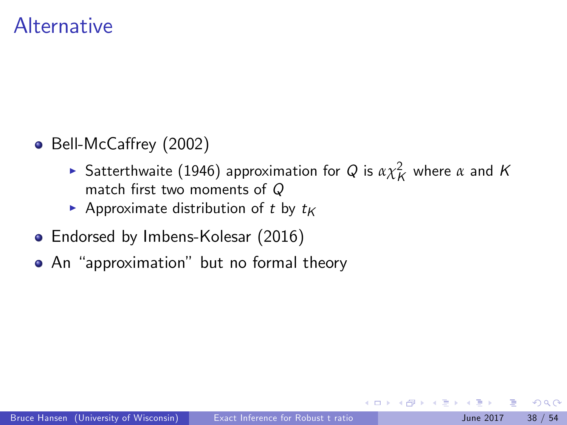### Alternative

- Bell-McCaffrey (2002)
	- **Satterthwaite (1946) approximation for Q is**  $\alpha \chi_K^2$  **where**  $\alpha$  **and K** match first two moments of  $Q$
	- Approximate distribution of t by  $t_K$
- Endorsed by Imbens-Kolesar (2016)
- An "approximation" but no formal theory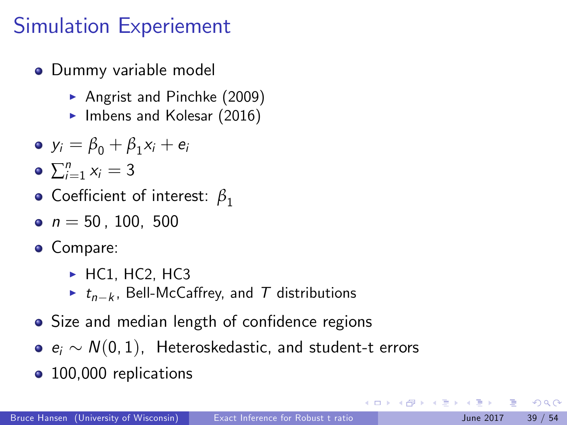# Simulation Experiement

- Dummy variable model
	- Angrist and Pinchke  $(2009)$
	- $\blacktriangleright$  Imbens and Kolesar (2016)
- $y_i = \beta_0 + \beta_1 x_i + e_i$
- $\sum_{i=1}^n x_i = 3$
- **•** Coefficient of interest:  $β_1$
- $n = 50.100, 500$
- Compare:
	- $\blacktriangleright$  HC1, HC2, HC3
	- ►  $t_{n-k}$ , Bell-McCaffrey, and  $T$  distributions
- Size and median length of confidence regions
- $\bullet$   $e_i \sim N(0, 1)$ , Heteroskedastic, and student-t errors
- 100,000 replications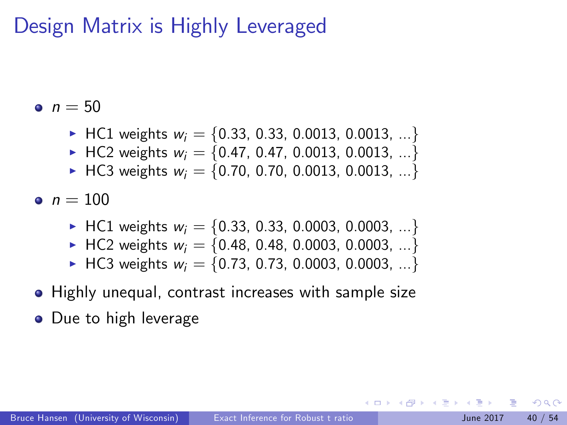## Design Matrix is Highly Leveraged

 $n = 50$ 

- ▶ HC1 weights  $w_i = \{0.33, 0.33, 0.0013, 0.0013, ...\}$
- $\blacktriangleright$  HC2 weights  $w_i = \{0.47, 0.47, 0.0013, 0.0013, ...\}$
- HC3 weights  $w_i = \{0.70, 0.70, 0.0013, 0.0013, ...\}$

•  $n = 100$ 

- ► HC1 weights  $w_i = \{0.33, 0.33, 0.0003, 0.0003, ...\}$
- HC2 weights  $w_i = \{0.48, 0.48, 0.0003, 0.0003, ...\}$
- $\blacktriangleright$  HC3 weights  $w_i = \{0.73, 0.73, 0.0003, 0.0003, ...\}$
- Highly unequal, contrast increases with sample size
- Due to high leverage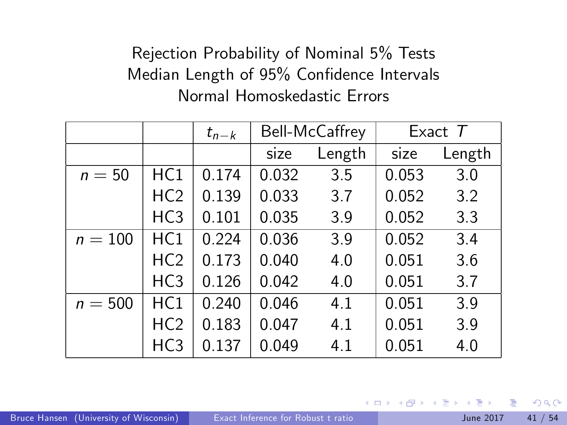#### Rejection Probability of Nominal 5% Tests Median Length of 95% Confidence Intervals Normal Homoskedastic Errors

|           |                 | $t_{n-k}$ |       | Bell-McCaffrey |       | Exact $T$ |
|-----------|-----------------|-----------|-------|----------------|-------|-----------|
|           |                 |           | size  | Length         | size  | Length    |
| $n = 50$  | HC1             | 0.174     | 0.032 | 3.5            | 0.053 | 3.0       |
|           | HC <sub>2</sub> | 0.139     | 0.033 | 3.7            | 0.052 | 3.2       |
|           | HC <sub>3</sub> | 0.101     | 0.035 | 3.9            | 0.052 | 3.3       |
| $n = 100$ | HC1             | 0.224     | 0.036 | 3.9            | 0.052 | 3.4       |
|           | HC <sub>2</sub> | 0.173     | 0.040 | 4.0            | 0.051 | 3.6       |
|           | HC <sub>3</sub> | 0.126     | 0.042 | 4.0            | 0.051 | 3.7       |
| $n = 500$ | HC1             | 0.240     | 0.046 | 4.1            | 0.051 | 3.9       |
|           | HC <sub>2</sub> | 0.183     | 0.047 | 4.1            | 0.051 | 3.9       |
|           | HC <sub>3</sub> | 0.137     | 0.049 | 4.1            | 0.051 | 4.0       |

4.0.3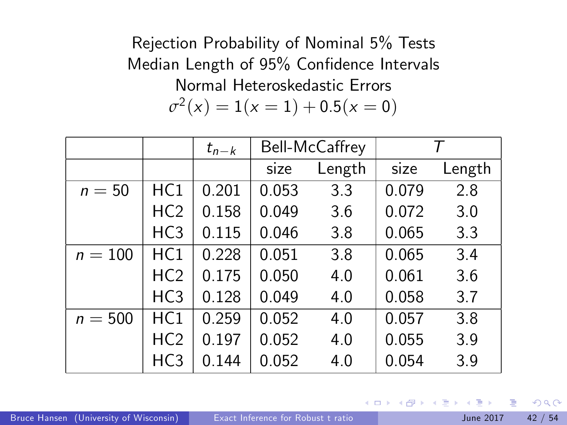Rejection Probability of Nominal 5% Tests Median Length of 95% Confidence Intervals Normal Heteroskedastic Errors  $\sigma^2(x) = 1(x=1) + 0.5(x=0)$ 

|           |                 | $t_{n-k}$ |       | Bell-McCaffrey |       | т      |
|-----------|-----------------|-----------|-------|----------------|-------|--------|
|           |                 |           | size  | Length         | size  | Length |
| $n=50$    | HC1             | 0.201     | 0.053 | 3.3            | 0.079 | 2.8    |
|           | HC <sub>2</sub> | 0.158     | 0.049 | 3.6            | 0.072 | 3.0    |
|           | HC <sub>3</sub> | 0.115     | 0.046 | 3.8            | 0.065 | 3.3    |
| $n = 100$ | HC1             | 0.228     | 0.051 | 3.8            | 0.065 | 3.4    |
|           | HC <sub>2</sub> | 0.175     | 0.050 | 4.0            | 0.061 | 3.6    |
|           | HC <sub>3</sub> | 0.128     | 0.049 | 4.0            | 0.058 | 3.7    |
| $n = 500$ | HC1             | 0.259     | 0.052 | 4.0            | 0.057 | 3.8    |
|           | HC <sub>2</sub> | 0.197     | 0.052 | 4.0            | 0.055 | 3.9    |
|           | HC3             | 0.144     | 0.052 | 4.0            | 0.054 | 3.9    |

4.0.3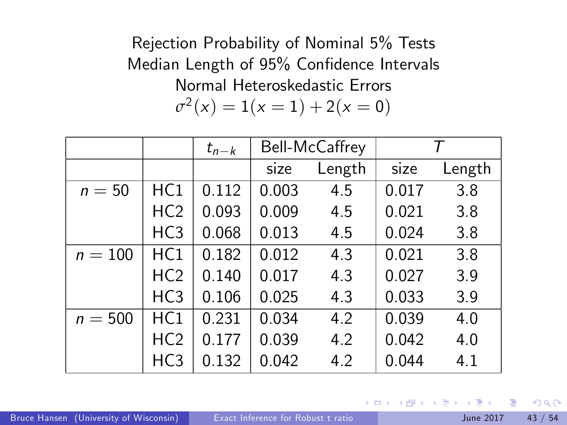Rejection Probability of Nominal 5% Tests Median Length of 95% Confidence Intervals Normal Heteroskedastic Errors  $\sigma^2(x) = 1(x = 1) + 2(x = 0)$ 

|           |                 | $t_{n-k}$ | Bell-McCaffrey |        |       | Τ      |
|-----------|-----------------|-----------|----------------|--------|-------|--------|
|           |                 |           | size           | Length | size  | Length |
| $n=50$    | HC1             | 0.112     | 0.003          | 4.5    | 0.017 | 3.8    |
|           | HC <sub>2</sub> | 0.093     | 0.009          | 4.5    | 0.021 | 3.8    |
|           | HC <sub>3</sub> | 0.068     | 0.013          | 4.5    | 0.024 | 3.8    |
| $n = 100$ | HC1             | 0.182     | 0.012          | 4.3    | 0.021 | 3.8    |
|           | HC <sub>2</sub> | 0.140     | 0.017          | 4.3    | 0.027 | 3.9    |
|           | HC <sub>3</sub> | 0.106     | 0.025          | 4.3    | 0.033 | 3.9    |
| $n = 500$ | HC1             | 0.231     | 0.034          | 4.2    | 0.039 | 4.0    |
|           | HC <sub>2</sub> | 0.177     | 0.039          | 4.2    | 0.042 | 4.0    |
|           | HC <sub>3</sub> | 0.132     | 0.042          | 4.2    | 0.044 | 4.1    |

4.0.3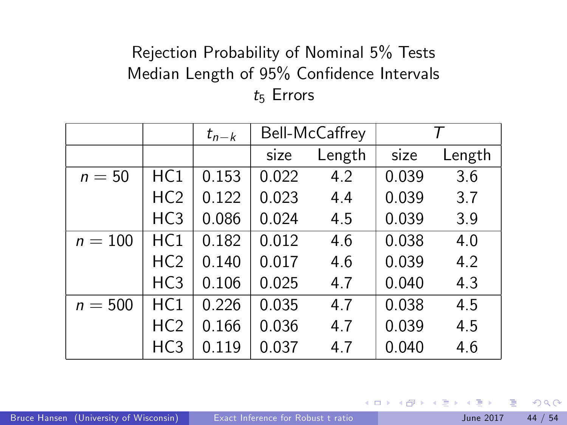#### Rejection Probability of Nominal 5% Tests Median Length of 95% Confidence Intervals  $t_5$  Errors

|           |                 | $t_{n-k}$ |       | Bell-McCaffrey |       | Τ      |
|-----------|-----------------|-----------|-------|----------------|-------|--------|
|           |                 |           | size  | Length         | size  | Length |
| $n=50$    | HC1             | 0.153     | 0.022 | 4.2            | 0.039 | 3.6    |
|           | HC <sub>2</sub> | 0.122     | 0.023 | 4.4            | 0.039 | 3.7    |
|           | HC <sub>3</sub> | 0.086     | 0.024 | 4.5            | 0.039 | 3.9    |
| $n = 100$ | HC1             | 0.182     | 0.012 | 4.6            | 0.038 | 4.0    |
|           | HC <sub>2</sub> | 0.140     | 0.017 | 4.6            | 0.039 | 4.2    |
|           | HC <sub>3</sub> | 0.106     | 0.025 | 4.7            | 0.040 | 4.3    |
| $n = 500$ | HC1             | 0.226     | 0.035 | 4.7            | 0.038 | 4.5    |
|           | HC <sub>2</sub> | 0.166     | 0.036 | 4.7            | 0.039 | 4.5    |
|           | HC <sub>3</sub> | 0.119     | 0.037 | 4.7            | 0.040 | 4.6    |

4.0.3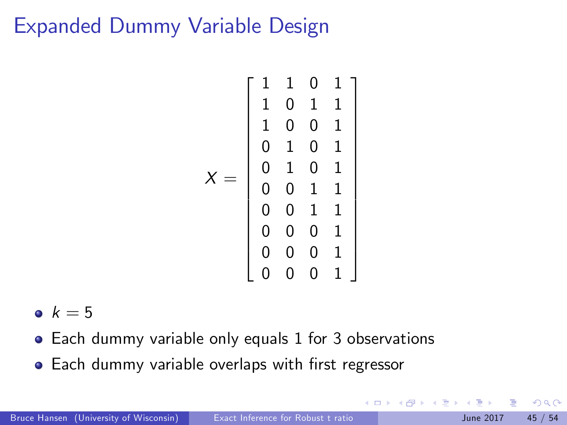## Expanded Dummy Variable Design

$$
X = \left[\begin{array}{cccc} 1 & 1 & 0 & 1 \\ 1 & 0 & 1 & 1 \\ 1 & 0 & 0 & 1 \\ 0 & 1 & 0 & 1 \\ 0 & 1 & 0 & 1 \\ 0 & 0 & 1 & 1 \\ 0 & 0 & 1 & 1 \\ 0 & 0 & 0 & 1 \\ 0 & 0 & 0 & 1 \\ 0 & 0 & 0 & 1 \\ 0 & 0 & 0 & 1 \\ \end{array}\right]
$$

•  $k = 5$ 

- Each dummy variable only equals 1 for 3 observations
- Each dummy variable overlaps with first regressor

4.0.3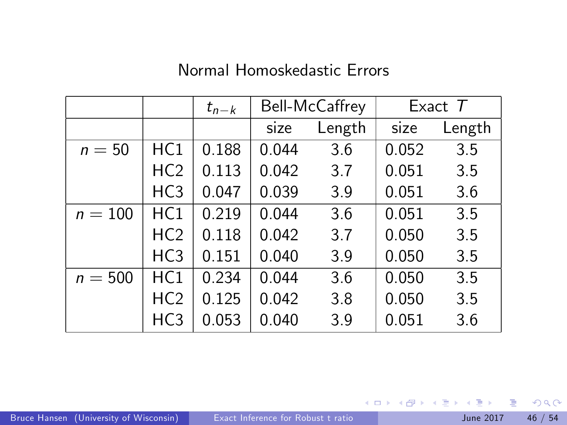#### Normal Homoskedastic Errors

|           |                 | $t_{n-k}$ |       | Bell-McCaffrey |       | Exact $T$ |
|-----------|-----------------|-----------|-------|----------------|-------|-----------|
|           |                 |           | size  | Length         | size  | Length    |
| $n=50$    | HC1             | 0.188     | 0.044 | 3.6            | 0.052 | 3.5       |
|           | HC <sub>2</sub> | 0.113     | 0.042 | 3.7            | 0.051 | 3.5       |
|           | HC <sub>3</sub> | 0.047     | 0.039 | 3.9            | 0.051 | 3.6       |
| $n=100$   | HC1             | 0.219     | 0.044 | 3.6            | 0.051 | 3.5       |
|           | HC <sub>2</sub> | 0.118     | 0.042 | 3.7            | 0.050 | 3.5       |
|           | HC <sub>3</sub> | 0.151     | 0.040 | 3.9            | 0.050 | 3.5       |
| $n = 500$ | HC1             | 0.234     | 0.044 | 3.6            | 0.050 | 3.5       |
|           | HC <sub>2</sub> | 0.125     | 0.042 | 3.8            | 0.050 | 3.5       |
|           | HC <sub>3</sub> | 0.053     | 0.040 | 3.9            | 0.051 | 3.6       |

重

 $2990$ 

イロト イ御 トイ君 トイ君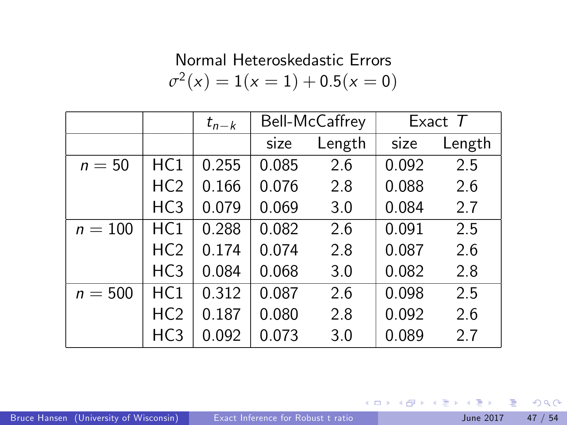#### Normal Heteroskedastic Errors  $\sigma^2(x) = 1(x = 1) + 0.5(x = 0)$

|           |                 | $t_{n-k}$ |       | Bell-McCaffrey |       | Exact $T$ |
|-----------|-----------------|-----------|-------|----------------|-------|-----------|
|           |                 |           | size  | Length         | size  | Length    |
| $n=50$    | HC1             | 0.255     | 0.085 | 2.6            | 0.092 | 2.5       |
|           | HC <sub>2</sub> | 0.166     | 0.076 | 2.8            | 0.088 | 2.6       |
|           | HC <sub>3</sub> | 0.079     | 0.069 | 3.0            | 0.084 | 2.7       |
| $n = 100$ | HC1             | 0.288     | 0.082 | 2.6            | 0.091 | 2.5       |
|           | HC <sub>2</sub> | 0.174     | 0.074 | 2.8            | 0.087 | 2.6       |
|           | HC <sub>3</sub> | 0.084     | 0.068 | 3.0            | 0.082 | 2.8       |
| $n = 500$ | HC1             | 0.312     | 0.087 | 2.6            | 0.098 | 2.5       |
|           | HC <sub>2</sub> | 0.187     | 0.080 | 2.8            | 0.092 | 2.6       |
|           | HC <sub>3</sub> | 0.092     | 0.073 | 3.0            | 0.089 | 2.7       |

D.

 $2990$ 

イロト イ部 トイモト イモト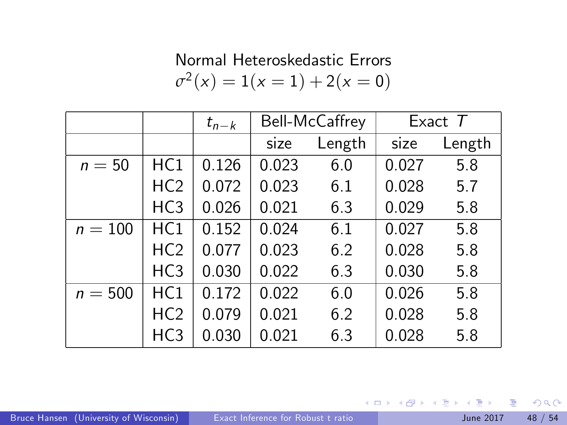#### Normal Heteroskedastic Errors  $\sigma^2(x) = 1(x = 1) + 2(x = 0)$

|           |                 | $t_{n-k}$ |       | Bell-McCaffrey |       | Exact $T$ |
|-----------|-----------------|-----------|-------|----------------|-------|-----------|
|           |                 |           | size  | Length         | size  | Length    |
| $n=50$    | HC1             | 0.126     | 0.023 | 6.0            | 0.027 | 5.8       |
|           | HC <sub>2</sub> | 0.072     | 0.023 | 6.1            | 0.028 | 5.7       |
|           | HC <sub>3</sub> | 0.026     | 0.021 | 6.3            | 0.029 | 5.8       |
| $n = 100$ | HC1             | 0.152     | 0.024 | 6.1            | 0.027 | 5.8       |
|           | HC <sub>2</sub> | 0.077     | 0.023 | 6.2            | 0.028 | 5.8       |
|           | HC <sub>3</sub> | 0.030     | 0.022 | 6.3            | 0.030 | 5.8       |
| $n = 500$ | HC1             | 0.172     | 0.022 | 6.0            | 0.026 | 5.8       |
|           | HC <sub>2</sub> | 0.079     | 0.021 | 6.2            | 0.028 | 5.8       |
|           | HC <sub>3</sub> | 0.030     | 0.021 | 6.3            | 0.028 | 5.8       |

B

 $QQ$ 

イロト イ部 トイモト イモト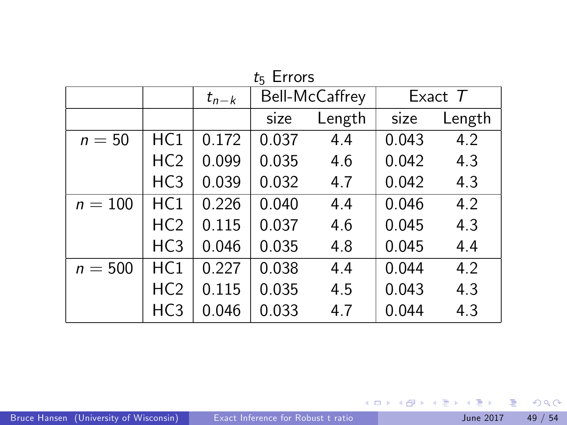|           |                 | $t_{n-k}$ | Bell-McCaffrey |        | Exact $T$ |        |
|-----------|-----------------|-----------|----------------|--------|-----------|--------|
|           |                 |           | size           | Length | size      | Length |
| $n=50$    | HC1             | 0.172     | 0.037          | 4.4    | 0.043     | 4.2    |
|           | HC <sub>2</sub> | 0.099     | 0.035          | 4.6    | 0.042     | 4.3    |
|           | HC <sub>3</sub> | 0.039     | 0.032          | 4.7    | 0.042     | 4.3    |
| $n = 100$ | HC1             | 0.226     | 0.040          | 4.4    | 0.046     | 4.2    |
|           | HC <sub>2</sub> | 0.115     | 0.037          | 4.6    | 0.045     | 4.3    |
|           | HC <sub>3</sub> | 0.046     | 0.035          | 4.8    | 0.045     | 4.4    |
| $n = 500$ | HC1             | 0.227     | 0.038          | 4.4    | 0.044     | 4.2    |
|           | HC <sub>2</sub> | 0.115     | 0.035          | 4.5    | 0.043     | 4.3    |
|           | HC <sub>3</sub> | 0.046     | 0.033          | 4.7    | 0.044     | 4.3    |

 $t = 5$  Equation

イロト (個) (量) (量) (量) 量 のQQ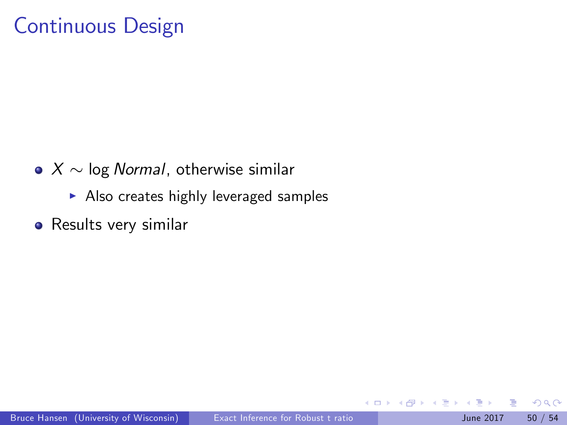## Continuous Design

- $\bullet X \sim$  log Normal, otherwise similar
	- $\blacktriangleright$  Also creates highly leveraged samples
- Results very similar

 $\leftarrow$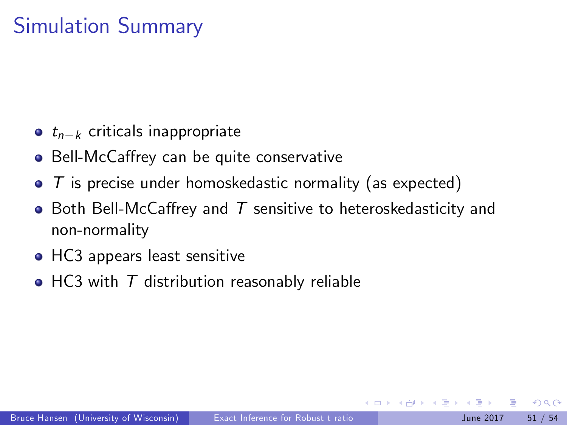# Simulation Summary

- $\bullet$   $t_{n-k}$  criticals inappropriate
- Bell-McCaffrey can be quite conservative
- $\bullet$  T is precise under homoskedastic normality (as expected)
- $\bullet$  Both Bell-McCaffrey and  $T$  sensitive to heteroskedasticity and non-normality
- HC3 appears least sensitive
- $\bullet$  HC3 with  $\top$  distribution reasonably reliable

つへへ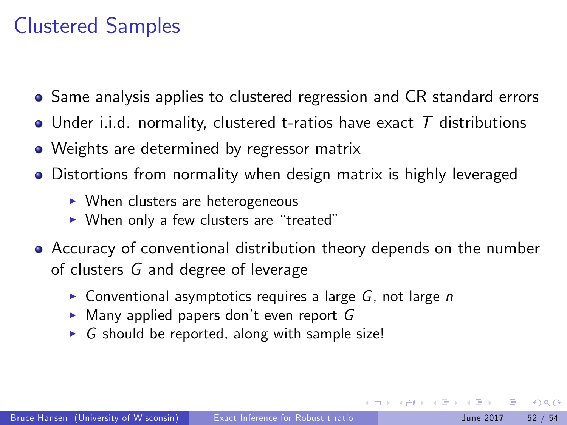# Clustered Samples

- Same analysis applies to clustered regression and CR standard errors
- Under i.i.d. normality, clustered t-ratios have exact  $T$  distributions
- Weights are determined by regressor matrix
- Distortions from normality when design matrix is highly leveraged
	- $\triangleright$  When clusters are heterogeneous
	- $\triangleright$  When only a few clusters are "treated"
- Accuracy of conventional distribution theory depends on the number of clusters G and degree of leverage
	- $\triangleright$  Conventional asymptotics requires a large G, not large n
	- $\triangleright$  Many applied papers don't even report G
	- $\triangleright$  G should be reported, along with sample size!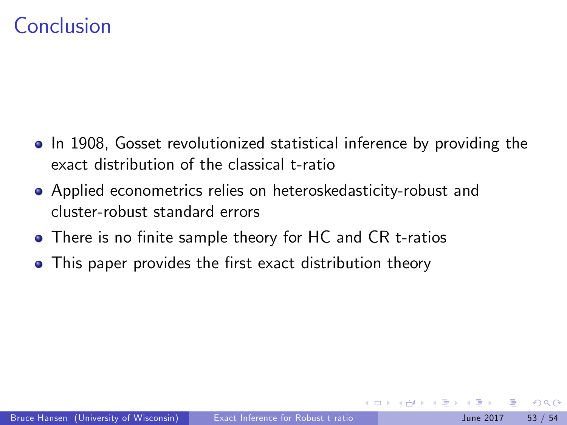## Conclusion

- In 1908, Gosset revolutionized statistical inference by providing the exact distribution of the classical t-ratio
- Applied econometrics relies on heteroskedasticity-robust and cluster-robust standard errors
- There is no finite sample theory for HC and CR t-ratios
- This paper provides the first exact distribution theory

つへへ